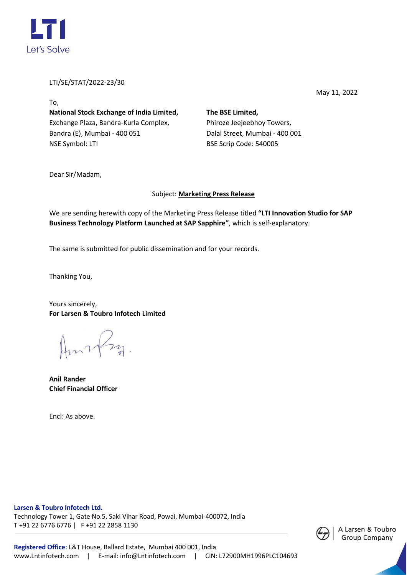

LTI/SE/STAT/2022-23/30

May 11, 2022

To, **National Stock Exchange of India Limited,** Exchange Plaza, Bandra-Kurla Complex, Bandra (E), Mumbai - 400 051 NSE Symbol: LTI

**The BSE Limited,** Phiroze Jeejeebhoy Towers, Dalal Street, Mumbai - 400 001 BSE Scrip Code: 540005

Dear Sir/Madam,

## Subject: **Marketing Press Release**

We are sending herewith copy of the Marketing Press Release titled **"LTI Innovation Studio for SAP Business Technology Platform Launched at SAP Sapphire"**, which is self-explanatory.

The same is submitted for public dissemination and for your records.

Thanking You,

Yours sincerely, **For Larsen & Toubro Infotech Limited**

Amrfm.

**Anil Rander Chief Financial Officer**

Encl: As above.

**Larsen & Toubro Infotech Ltd.** 

Technology Tower 1, Gate No.5, Saki Vihar Road, Powai, Mumbai-400072, India T +91 22 6776 6776 | F +91 22 2858 1130

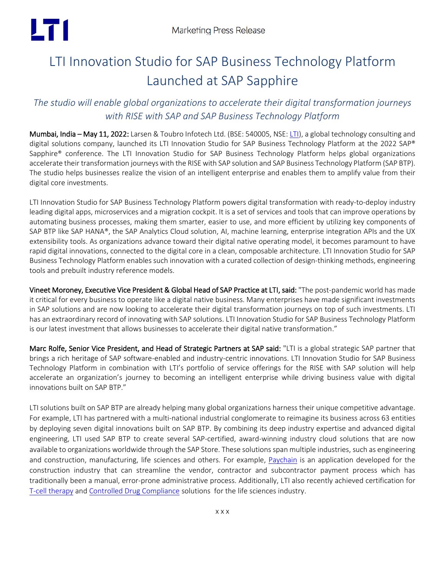# LT 1

## LTI Innovation Studio for SAP Business Technology Platform Launched at SAP Sapphire

## *The studio will enable global organizations to accelerate their digital transformation journeys with RISE with SAP and SAP Business Technology Platform*

Mumbai, India – May 11, 2022: Larsen & Toubro Infotech Ltd. (BSE: 540005, NSE[: LTI\)](https://www.lntinfotech.com/), a global technology consulting and digital solutions company, launched its LTI Innovation Studio for SAP Business Technology Platform at the 2022 SAP® Sapphire® conference. The LTI Innovation Studio for SAP Business Technology Platform helps global organizations accelerate their transformation journeys with the RISE with SAP solution and SAP Business Technology Platform (SAP BTP). The studio helps businesses realize the vision of an intelligent enterprise and enables them to amplify value from their digital core investments.

LTI Innovation Studio for SAP Business Technology Platform powers digital transformation with ready-to-deploy industry leading digital apps, microservices and a migration cockpit. It is a set of services and tools that can improve operations by automating business processes, making them smarter, easier to use, and more efficient by utilizing key components of SAP BTP like SAP HANA®, the SAP Analytics Cloud solution, AI, machine learning, enterprise integration APIs and the UX extensibility tools. As organizations advance toward their digital native operating model, it becomes paramount to have rapid digital innovations, connected to the digital core in a clean, composable architecture. LTI Innovation Studio for SAP Business Technology Platform enables such innovation with a curated collection of design-thinking methods, engineering tools and prebuilt industry reference models.

Vineet Moroney, Executive Vice President & Global Head of SAP Practice at LTI, said: "The post-pandemic world has made it critical for every business to operate like a digital native business. Many enterprises have made significant investments in SAP solutions and are now looking to accelerate their digital transformation journeys on top of such investments. LTI has an extraordinary record of innovating with SAP solutions. LTI Innovation Studio for SAP Business Technology Platform is our latest investment that allows businesses to accelerate their digital native transformation."

Marc Rolfe, Senior Vice President, and Head of Strategic Partners at SAP said: "LTI is a global strategic SAP partner that brings a rich heritage of SAP software-enabled and industry-centric innovations. LTI Innovation Studio for SAP Business Technology Platform in combination with LTI's portfolio of service offerings for the RISE with SAP solution will help accelerate an organization's journey to becoming an intelligent enterprise while driving business value with digital innovations built on SAP BTP."

LTI solutions built on SAP BTP are already helping many global organizations harness their unique competitive advantage. For example, LTI has partnered with a multi-national industrial conglomerate to reimagine its business across 63 entities by deploying seven digital innovations built on SAP BTP. By combining its deep industry expertise and advanced digital engineering, LTI used SAP BTP to create several SAP-certified, award-winning industry cloud solutions that are now available to organizations worldwide through the SAP Store. These solutions span multiple industries, such as engineering and construction, manufacturing, life sciences and others. For example, [Paychain](https://store.sap.com/dcp/en/product/display-0000059090_live_v1/Project%20Paychain) is an application developed for the construction industry that can streamline the vendor, contractor and subcontractor payment process which has traditionally been a manual, error-prone administrative process. Additionally, LTI also recently achieved certification for [T-cell therapy](https://ind01.safelinks.protection.outlook.com/?url=https%3A%2F%2Fstore.sap.com%2Fdcp%2Fen%2Fproduct%2Fdisplay-0000060327_live_v1%2FT-Cell%2520Therapy%2520Deployment&data=05%7C01%7CShambhavi.Revandkar%40lntinfotech.com%7C3f70591eea094b76dc0708da31f0bbb1%7C02aa9fc118bc4798a020e01c854dd434%7C1%7C0%7C637877207250000478%7CUnknown%7CTWFpbGZsb3d8eyJWIjoiMC4wLjAwMDAiLCJQIjoiV2luMzIiLCJBTiI6Ik1haWwiLCJXVCI6Mn0%3D%7C3000%7C%7C%7C&sdata=cchNjyRyCDjLhVFGaj3H%2BFWRV%2FB%2BYGJRNF7%2FhgZ67UM%3D&reserved=0) an[d Controlled Drug Compliance](https://ind01.safelinks.protection.outlook.com/?url=https%3A%2F%2Fstore.sap.com%2Fdcp%2Fen%2Fproduct%2Fdisplay-0000060326_live_v1%2FControlled%2520Drugs%2520Compliance&data=05%7C01%7CShambhavi.Revandkar%40lntinfotech.com%7C3f70591eea094b76dc0708da31f0bbb1%7C02aa9fc118bc4798a020e01c854dd434%7C1%7C0%7C637877207250000478%7CUnknown%7CTWFpbGZsb3d8eyJWIjoiMC4wLjAwMDAiLCJQIjoiV2luMzIiLCJBTiI6Ik1haWwiLCJXVCI6Mn0%3D%7C3000%7C%7C%7C&sdata=%2BO3tlnA2R90Lm0GaUEnJf7NSEGEodffS6aYwyLyZuJ4%3D&reserved=0) solutions for the life sciences industry.